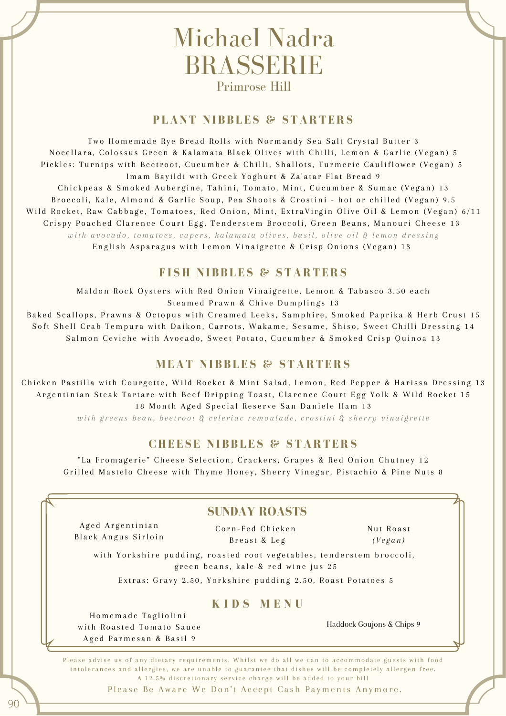# Michael Nadra BRASSERIE Primrose Hill

# **P LANT NI B B L E S & STARTERS**

Two Homemade Rye Bread Rolls with Normandy Sea Salt Crystal Butter 3 Nocellara, Colossus Green & Kalamata Black Olives with Chilli, Lemon & Garlic (Vegan) 5 Pickles: Turnips with Beetroot, Cucumber & Chilli, Shallots, Turmeric Cauliflower (Vegan) 5 Imam Bayildi with Greek Yoghurt & Za'atar Flat Bread 9 Chickpeas & Smoked Aubergine, Tahini, Tomato, Mint, Cucumber & Sumac (Vegan) 13 Broccoli, Kale, Almond & Garlic Soup, Pea Shoots & Crostini - hot or chilled (Vegan) 9.5 Wild Rocket, Raw Cabbage, Tomatoes, Red Onion, Mint, ExtraVirgin Olive Oil & Lemon (Vegan) 6/11 Crispy Poached Clarence Court Egg, Tenderstem Broccoli, Green Beans, Manouri Cheese 13 with avocado, tomatoes, capers, kalamata olives, basil, olive oil & lemon dressing English Asparagus with Lemon Vinaigrette & Crisp Onions (Vegan) 13

## **F I SH NIB B L E S & STARTERS**

Maldon Rock Oysters with Red Onion Vinaigrette, Lemon & Tabasco 3.50 each Steamed Prawn & Chive Dumplings 13

Baked Scallops, Prawns & Octopus with Creamed Leeks, Samphire, Smoked Paprika & Herb Crust 15 Soft Shell Crab Tempura with Daikon, Carrots, Wakame, Sesame, Shiso, Sweet Chilli Dressing 14 Salmon Ceviche with Avocado, Sweet Potato, Cucumber & Smoked Crisp Quinoa 13

# **M EAT NI B B L E S & STARTERS**

Chicken Pastilla with Courgette, Wild Rocket & Mint Salad, Lemon, Red Pepper & Harissa Dressing 13 Argentinian Steak Tartare with Beef Dripping Toast, Clarence Court Egg Yolk & Wild Rocket 15 18 Month Aged Special Reserve San Daniele Ham 13 with greens bean, beetroot & celeriac remoulade, crostini & sherry vinaigrette

# **CHE E S E NI B B L E S & STARTERS**

"La Fromagerie" Cheese Selection, Crackers, Grapes & Red Onion Chutney 12 Grilled Mastelo Cheese with Thyme Honey, Sherry Vinegar, Pistachio & Pine Nuts 8

# **SUNDAY ROASTS**

Aged Argentinian Black Angus Sirloin

Corn-Fed Chicken B r e a st & L e g

Nut Roast *( V e g a n )*

with Yorkshire pudding, roasted root vegetables, tenderstem broccoli,<br>green beans, kale & red wine jus 25

Extras: Gravy 2.50, Yorkshire pudding 2.50, Roast Potatoes 5

### **K I D S M E N U**

Homemade Tagliolini with Roasted Tomato Sauce Aged Parmesan & Basil 9

Haddock Goujons & Chips 9

Please advise us of any dietary requirements. Whilst we do all we can to accommodate guests with food intolerances and allergies, we are unable to guarantee that dishes will be completely allergen free. A 12.5% discretionary service charge will be added to your bill

Please Be Aware We Don't Accept Cash Payments Anymore.